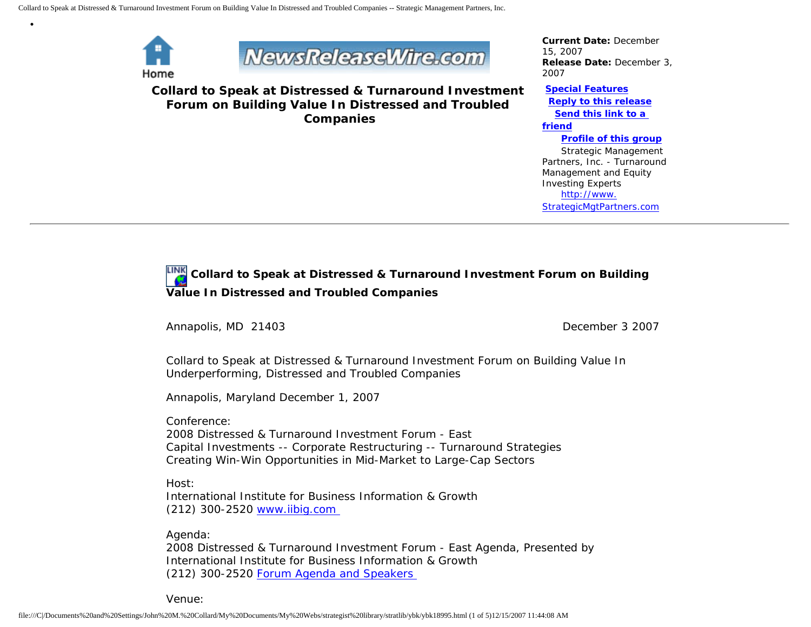

•



**Collard to Speak at Distressed & Turnaround Investment Forum on Building Value In Distressed and Troubled Companies**

*Current Date:* December 15, 2007 *Release Date:* December 3, 2007

**[Special Features](javascript:openlittleme()**

 **[Reply to this release](file:///C|/Documents%20and%20Settings/John%20M.%20Collard/My%20Documents/My%20Webs/strategist%20library/stratlib/ybk/default.cfm?Action=ReplyRelease&Id=18995) [Send this link to a](file:///C|/Documents%20and%20Settings/John%20M.%20Collard/My%20Documents/My%20Webs/strategist%20library/stratlib/ybk/default.cfm?Action=SendLink&SendId=18995)  [friend](file:///C|/Documents%20and%20Settings/John%20M.%20Collard/My%20Documents/My%20Webs/strategist%20library/stratlib/ybk/default.cfm?Action=SendLink&SendId=18995)**

 **[Profile of this group](file:///C|/Documents%20and%20Settings/John%20M.%20Collard/My%20Documents/My%20Webs/strategist%20library/stratlib/ybk/default.cfm?Action=Profile&ProfileId=623)** Strategic Management Partners, Inc. - Turnaround Management and Equity Investing Experts [http://www.](http://www.strategicmgtpartners.com/) [StrategicMgtPartners.com](http://www.strategicmgtpartners.com/)

## **Collard to Speak at Distressed & Turnaround Investment Forum on Building Value In Distressed and Troubled Companies**

Annapolis, MD 21403 **December 3 2007** 

Collard to Speak at Distressed & Turnaround Investment Forum on Building Value In Underperforming, Distressed and Troubled Companies

Annapolis, Maryland December 1, 2007

Conference: 2008 Distressed & Turnaround Investment Forum - East Capital Investments -- Corporate Restructuring -- Turnaround Strategies Creating Win-Win Opportunities in Mid-Market to Large-Cap Sectors

Host: International Institute for Business Information & Growth (212) 300-2520 [www.iibig.com](http://www.iibig.com/)

Agenda:

2008 Distressed & Turnaround Investment Forum - East Agenda, Presented by International Institute for Business Information & Growth (212) 300-2520 [Forum Agenda and Speakers](http://www.iibig.com/conferences/F0801/overview.html) 

Venue: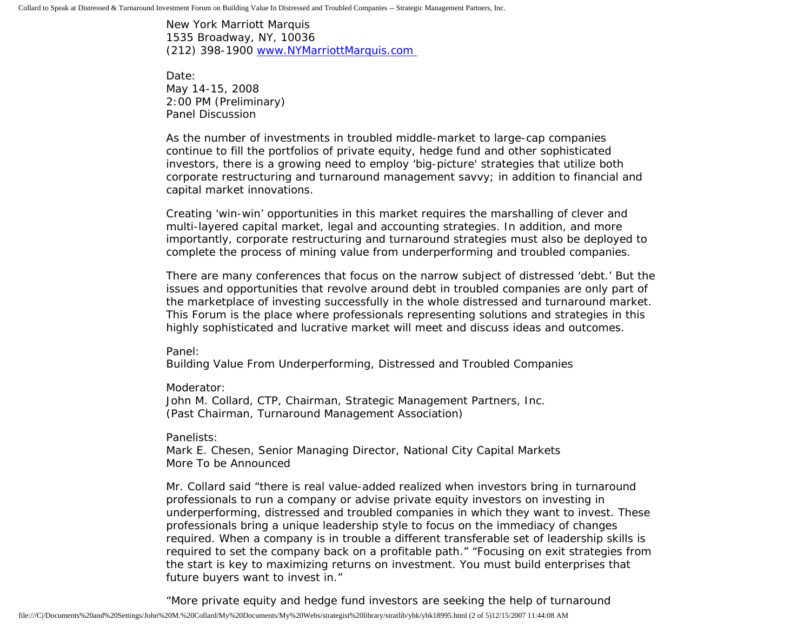New York Marriott Marquis 1535 Broadway, NY, 10036 (212) 398-1900 [www.NYMarriottMarquis.com](http://www.nymarriottmarquis.com/) 

Date: May 14-15, 2008 2:00 PM (Preliminary) Panel Discussion

As the number of investments in troubled middle-market to large-cap companies continue to fill the portfolios of private equity, hedge fund and other sophisticated investors, there is a growing need to employ 'big-picture' strategies that utilize both corporate restructuring and turnaround management savvy; in addition to financial and capital market innovations.

Creating 'win-win' opportunities in this market requires the marshalling of clever and multi-layered capital market, legal and accounting strategies. In addition, and more importantly, corporate restructuring and turnaround strategies must also be deployed to complete the process of mining value from underperforming and troubled companies.

There are many conferences that focus on the narrow subject of distressed 'debt.' But the issues and opportunities that revolve around debt in troubled companies are only part of the marketplace of investing successfully in the whole distressed and turnaround market. This Forum is the place where professionals representing solutions and strategies in this highly sophisticated and lucrative market will meet and discuss ideas and outcomes.

Panel:

Building Value From Underperforming, Distressed and Troubled Companies

Moderator:

John M. Collard, CTP, Chairman, Strategic Management Partners, Inc. (Past Chairman, Turnaround Management Association)

Panelists:

Mark E. Chesen, Senior Managing Director, National City Capital Markets More To be Announced

Mr. Collard said "there is real value-added realized when investors bring in turnaround professionals to run a company or advise private equity investors on investing in underperforming, distressed and troubled companies in which they want to invest. These professionals bring a unique leadership style to focus on the immediacy of changes required. When a company is in trouble a different transferable set of leadership skills is required to set the company back on a profitable path." "Focusing on exit strategies from the start is key to maximizing returns on investment. You must build enterprises that future buyers want to invest in."

"More private equity and hedge fund investors are seeking the help of turnaround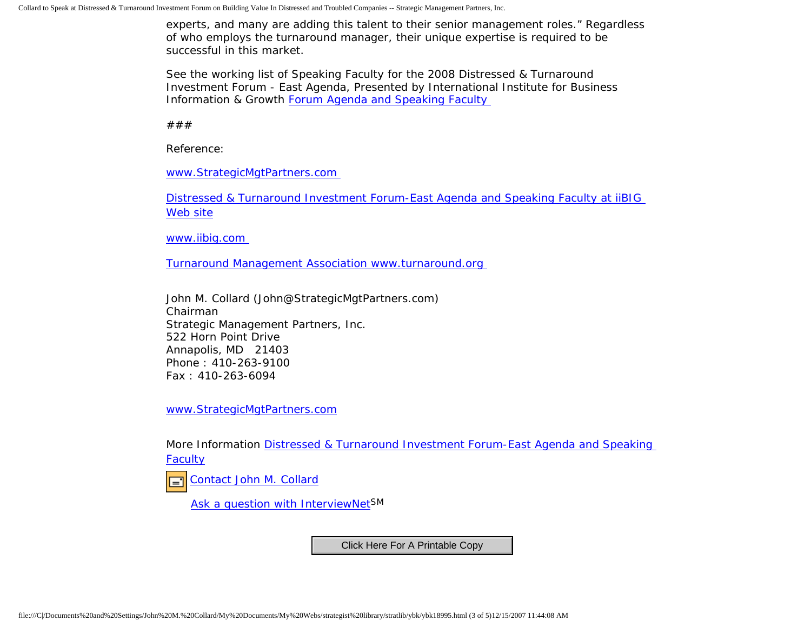experts, and many are adding this talent to their senior management roles." Regardless of who employs the turnaround manager, their unique expertise is required to be successful in this market.

See the working list of Speaking Faculty for the 2008 Distressed & Turnaround Investment Forum - East Agenda, Presented by International Institute for Business Information & Growth [Forum Agenda and Speaking Faculty](http://www.iibig.com/conferences/F0801/overview.html) 

###

Reference:

[www.StrategicMgtPartners.com](http://www.strategicmgtpartners.com/)

[Distressed & Turnaround Investment Forum-East Agenda and Speaking Faculty at iiBIG](http://www.iibig.com/conferences/F0801/overview.html)  [Web site](http://www.iibig.com/conferences/F0801/overview.html)

[www.iibig.com](http://www.iibig.com/) 

[Turnaround Management Association www.turnaround.org](http://www.turnaround.org/)

John M. Collard (John@StrategicMgtPartners.com) Chairman Strategic Management Partners, Inc. 522 Horn Point Drive Annapolis, MD 21403 Phone : 410-263-9100 Fax : 410-263-6094

[www.StrategicMgtPartners.com](http://www.strategicmgtpartners.com/)

More Information [Distressed & Turnaround Investment Forum-East Agenda and Speaking](http://www.iibig.com/conferences/F0801/overview.html) [Faculty](http://www.iibig.com/conferences/F0801/overview.html)

[Contact John M. Collard](http://www.expertclick.com/expertClick/contact/default.cfm?Action=ContactExpert&GroupID=1016) ⊟

[Ask a question with InterviewNetS](http://www.expertclick.com/expertClick/contact/default.cfm?GroupID=1016)M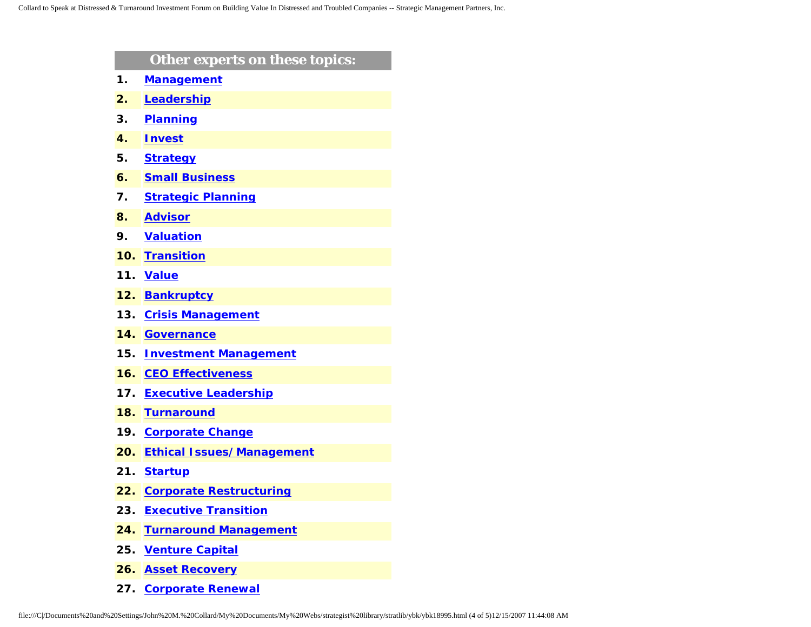| Other experts on these topics:   |
|----------------------------------|
| <b>Management</b>                |
| Leadership                       |
| <b>Planning</b>                  |
| <b>Invest</b>                    |
| <b>Strategy</b>                  |
| <b>Small Business</b>            |
| <b>Strategic Planning</b>        |
| <b>Advisor</b>                   |
| <b>Valuation</b>                 |
| <b>Transition</b>                |
| <b>Value</b>                     |
| <b>Bankruptcy</b>                |
| <b>Crisis Management</b>         |
| <b>Governance</b>                |
| <b>Investment Management</b>     |
| <b>CEO Effectiveness</b>         |
| <b>Executive Leadership</b>      |
| <b>Turnaround</b>                |
| <b>Corporate Change</b>          |
| <b>Ethical Issues/Management</b> |
| <b>Startup</b>                   |
| <b>Corporate Restructuring</b>   |
| <b>Executive Transition</b>      |
| <b>Turnaround Management</b>     |
| <b>Venture Capital</b>           |
|                                  |

- **26. [Asset Recovery](http://www.expertclick.com/search/default.cfm?SearchCriteria=Asset Recovery)**
- **27. [Corporate Renewal](http://www.expertclick.com/search/default.cfm?SearchCriteria=Corporate Renewal)**